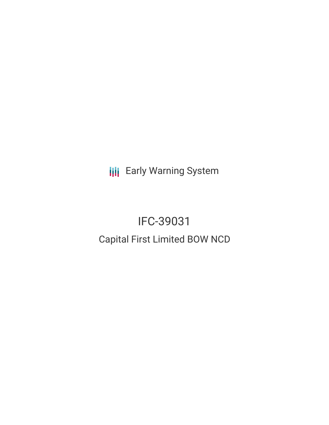**III** Early Warning System

# IFC-39031 Capital First Limited BOW NCD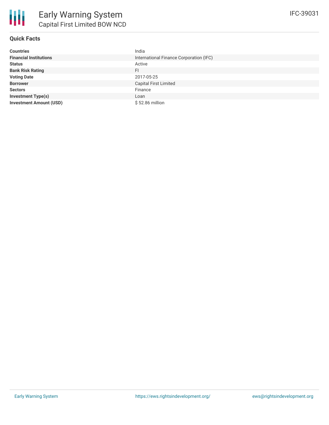| <b>Countries</b>               | India                                   |
|--------------------------------|-----------------------------------------|
| <b>Financial Institutions</b>  | International Finance Corporation (IFC) |
| <b>Status</b>                  | Active                                  |
| <b>Bank Risk Rating</b>        | FI                                      |
| <b>Voting Date</b>             | 2017-05-25                              |
| <b>Borrower</b>                | <b>Capital First Limited</b>            |
| <b>Sectors</b>                 | Finance                                 |
| <b>Investment Type(s)</b>      | Loan                                    |
| <b>Investment Amount (USD)</b> | \$52.86 million                         |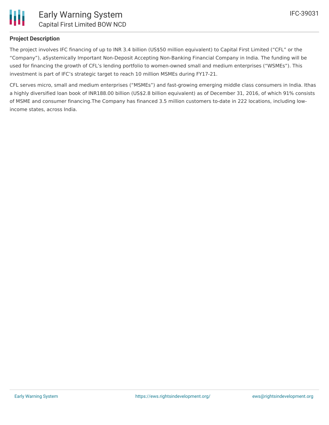

# **Project Description**

The project involves IFC financing of up to INR 3.4 billion (US\$50 million equivalent) to Capital First Limited ("CFL" or the "Company"), aSystemically Important Non-Deposit Accepting Non-Banking Financial Company in India. The funding will be used for financing the growth of CFL's lending portfolio to women-owned small and medium enterprises ("WSMEs"). This investment is part of IFC's strategic target to reach 10 million MSMEs during FY17-21.

CFL serves micro, small and medium enterprises ("MSMEs") and fast-growing emerging middle class consumers in India. Ithas a highly diversified loan book of INR188.00 billion (US\$2.8 billion equivalent) as of December 31, 2016, of which 91% consists of MSME and consumer financing.The Company has financed 3.5 million customers to-date in 222 locations, including lowincome states, across India.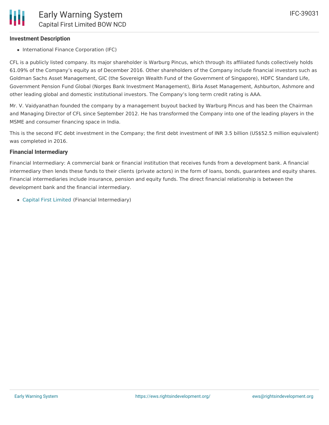## **Investment Description**

• International Finance Corporation (IFC)

CFL is a publicly listed company. Its major shareholder is Warburg Pincus, which through its affiliated funds collectively holds 61.09% of the Company's equity as of December 2016. Other shareholders of the Company include financial investors such as Goldman Sachs Asset Management, GIC (the Sovereign Wealth Fund of the Government of Singapore), HDFC Standard Life, Government Pension Fund Global (Norges Bank Investment Management), Birla Asset Management, Ashburton, Ashmore and other leading global and domestic institutional investors. The Company's long term credit rating is AAA.

Mr. V. Vaidyanathan founded the company by a management buyout backed by Warburg Pincus and has been the Chairman and Managing Director of CFL since September 2012. He has transformed the Company into one of the leading players in the MSME and consumer financing space in India.

This is the second IFC debt investment in the Company; the first debt investment of INR 3.5 billion (US\$52.5 million equivalent) was completed in 2016.

#### **Financial Intermediary**

Financial Intermediary: A commercial bank or financial institution that receives funds from a development bank. A financial intermediary then lends these funds to their clients (private actors) in the form of loans, bonds, guarantees and equity shares. Financial intermediaries include insurance, pension and equity funds. The direct financial relationship is between the development bank and the financial intermediary.

Capital First [Limited](file:///actor/1040/) (Financial Intermediary)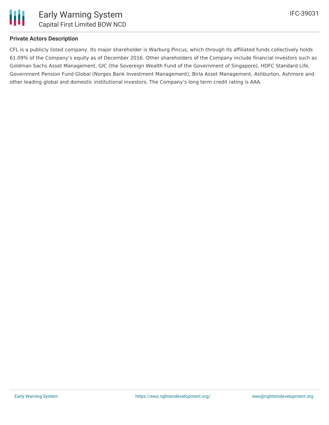

## **Private Actors Description**

CFL is a publicly listed company. Its major shareholder is Warburg Pincus, which through its affiliated funds collectively holds 61.09% of the Company's equity as of December 2016. Other shareholders of the Company include financial investors such as Goldman Sachs Asset Management, GIC (the Sovereign Wealth Fund of the Government of Singapore), HDFC Standard Life, Government Pension Fund Global (Norges Bank Investment Management), Birla Asset Management, Ashburton, Ashmore and other leading global and domestic institutional investors. The Company's long term credit rating is AAA.